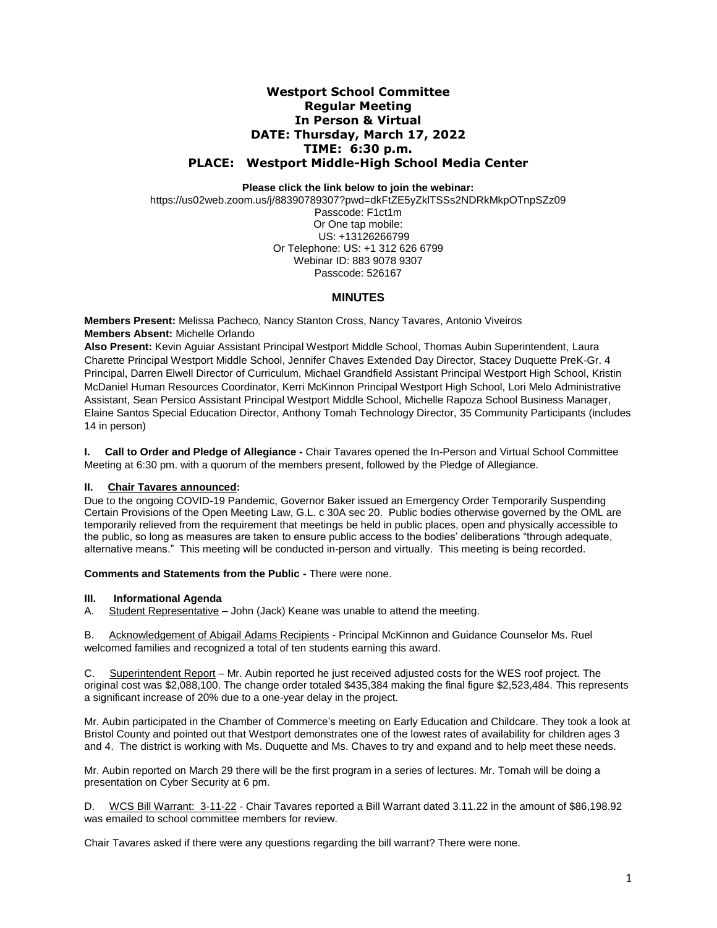# **Westport School Committee Regular Meeting In Person & Virtual DATE: Thursday, March 17, 2022 TIME: 6:30 p.m. PLACE: Westport Middle-High School Media Center**

**Please click the link below to join the webinar:**

https://us02web.zoom.us/j/88390789307?pwd=dkFtZE5yZklTSSs2NDRkMkpOTnpSZz09 Passcode: F1ct1m Or One tap mobile: US: +13126266799 Or Telephone: US: +1 312 626 6799 Webinar ID: 883 9078 9307 Passcode: 526167

# **MINUTES**

**Members Present:** Melissa Pacheco*,* Nancy Stanton Cross, Nancy Tavares, Antonio Viveiros **Members Absent:** Michelle Orlando

**Also Present:** Kevin Aguiar Assistant Principal Westport Middle School, Thomas Aubin Superintendent, Laura Charette Principal Westport Middle School, Jennifer Chaves Extended Day Director, Stacey Duquette PreK-Gr. 4 Principal, Darren Elwell Director of Curriculum, Michael Grandfield Assistant Principal Westport High School, Kristin McDaniel Human Resources Coordinator, Kerri McKinnon Principal Westport High School, Lori Melo Administrative Assistant, Sean Persico Assistant Principal Westport Middle School, Michelle Rapoza School Business Manager, Elaine Santos Special Education Director, Anthony Tomah Technology Director, 35 Community Participants (includes 14 in person)

**I. Call to Order and Pledge of Allegiance -** Chair Tavares opened the In-Person and Virtual School Committee Meeting at 6:30 pm. with a quorum of the members present, followed by the Pledge of Allegiance.

### **II. Chair Tavares announced:**

Due to the ongoing COVID-19 Pandemic, Governor Baker issued an Emergency Order Temporarily Suspending Certain Provisions of the Open Meeting Law, G.L. c 30A sec 20. Public bodies otherwise governed by the OML are temporarily relieved from the requirement that meetings be held in public places, open and physically accessible to the public, so long as measures are taken to ensure public access to the bodies' deliberations "through adequate, alternative means." This meeting will be conducted in-person and virtually. This meeting is being recorded.

**Comments and Statements from the Public -** There were none.

### **III. Informational Agenda**

A. Student Representative – John (Jack) Keane was unable to attend the meeting.

B. Acknowledgement of Abigail Adams Recipients - Principal McKinnon and Guidance Counselor Ms. Ruel welcomed families and recognized a total of ten students earning this award.

C. Superintendent Report – Mr. Aubin reported he just received adjusted costs for the WES roof project. The original cost was \$2,088,100. The change order totaled \$435,384 making the final figure \$2,523,484. This represents a significant increase of 20% due to a one-year delay in the project.

Mr. Aubin participated in the Chamber of Commerce's meeting on Early Education and Childcare. They took a look at Bristol County and pointed out that Westport demonstrates one of the lowest rates of availability for children ages 3 and 4. The district is working with Ms. Duquette and Ms. Chaves to try and expand and to help meet these needs.

Mr. Aubin reported on March 29 there will be the first program in a series of lectures. Mr. Tomah will be doing a presentation on Cyber Security at 6 pm.

D. WCS Bill Warrant: 3-11-22 - Chair Tavares reported a Bill Warrant dated 3.11.22 in the amount of \$86,198.92 was emailed to school committee members for review.

Chair Tavares asked if there were any questions regarding the bill warrant? There were none.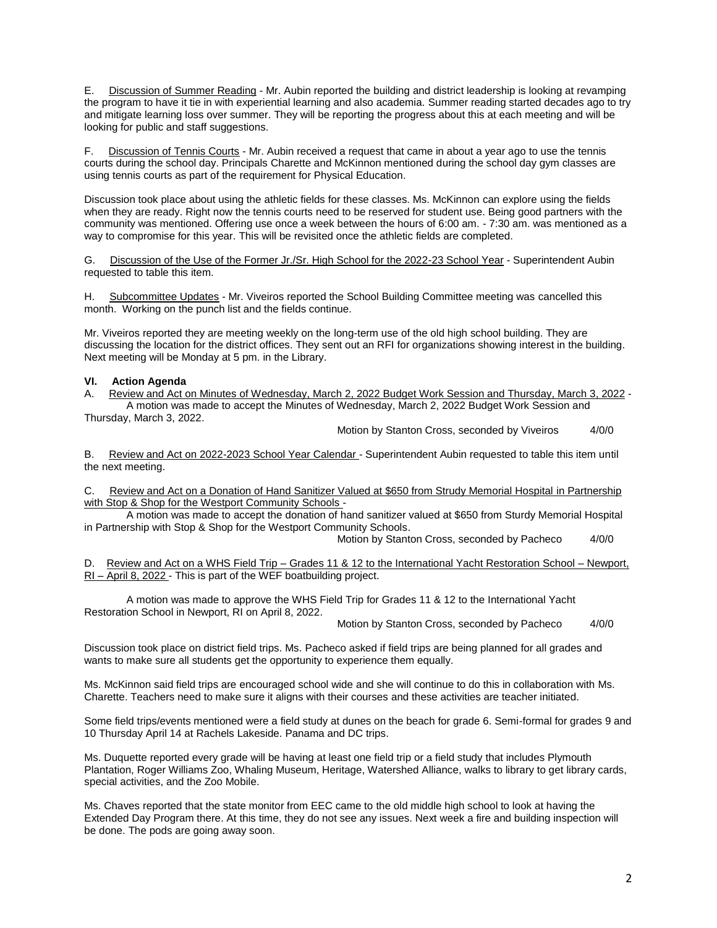E. Discussion of Summer Reading - Mr. Aubin reported the building and district leadership is looking at revamping the program to have it tie in with experiential learning and also academia. Summer reading started decades ago to try and mitigate learning loss over summer. They will be reporting the progress about this at each meeting and will be looking for public and staff suggestions.

F. Discussion of Tennis Courts - Mr. Aubin received a request that came in about a year ago to use the tennis courts during the school day. Principals Charette and McKinnon mentioned during the school day gym classes are using tennis courts as part of the requirement for Physical Education.

Discussion took place about using the athletic fields for these classes. Ms. McKinnon can explore using the fields when they are ready. Right now the tennis courts need to be reserved for student use. Being good partners with the community was mentioned. Offering use once a week between the hours of 6:00 am. - 7:30 am. was mentioned as a way to compromise for this year. This will be revisited once the athletic fields are completed.

G. Discussion of the Use of the Former Jr./Sr. High School for the 2022-23 School Year - Superintendent Aubin requested to table this item.

Subcommittee Updates - Mr. Viveiros reported the School Building Committee meeting was cancelled this month. Working on the punch list and the fields continue.

Mr. Viveiros reported they are meeting weekly on the long-term use of the old high school building. They are discussing the location for the district offices. They sent out an RFI for organizations showing interest in the building. Next meeting will be Monday at 5 pm. in the Library.

#### **VI. Action Agenda**

A. Review and Act on Minutes of Wednesday, March 2, 2022 Budget Work Session and Thursday, March 3, 2022 - A motion was made to accept the Minutes of Wednesday, March 2, 2022 Budget Work Session and Thursday, March 3, 2022.

Motion by Stanton Cross, seconded by Viveiros 4/0/0

B. Review and Act on 2022-2023 School Year Calendar - Superintendent Aubin requested to table this item until the next meeting.

C. Review and Act on a Donation of Hand Sanitizer Valued at \$650 from Strudy Memorial Hospital in Partnership with Stop & Shop for the Westport Community Schools -

A motion was made to accept the donation of hand sanitizer valued at \$650 from Sturdy Memorial Hospital in Partnership with Stop & Shop for the Westport Community Schools.

Motion by Stanton Cross, seconded by Pacheco 4/0/0

D. Review and Act on a WHS Field Trip – Grades 11 & 12 to the International Yacht Restoration School – Newport, RI – April 8, 2022 - This is part of the WEF boatbuilding project.

A motion was made to approve the WHS Field Trip for Grades 11 & 12 to the International Yacht Restoration School in Newport, RI on April 8, 2022.

Motion by Stanton Cross, seconded by Pacheco 4/0/0

Discussion took place on district field trips. Ms. Pacheco asked if field trips are being planned for all grades and wants to make sure all students get the opportunity to experience them equally.

Ms. McKinnon said field trips are encouraged school wide and she will continue to do this in collaboration with Ms. Charette. Teachers need to make sure it aligns with their courses and these activities are teacher initiated.

Some field trips/events mentioned were a field study at dunes on the beach for grade 6. Semi-formal for grades 9 and 10 Thursday April 14 at Rachels Lakeside. Panama and DC trips.

Ms. Duquette reported every grade will be having at least one field trip or a field study that includes Plymouth Plantation, Roger Williams Zoo, Whaling Museum, Heritage, Watershed Alliance, walks to library to get library cards, special activities, and the Zoo Mobile.

Ms. Chaves reported that the state monitor from EEC came to the old middle high school to look at having the Extended Day Program there. At this time, they do not see any issues. Next week a fire and building inspection will be done. The pods are going away soon.